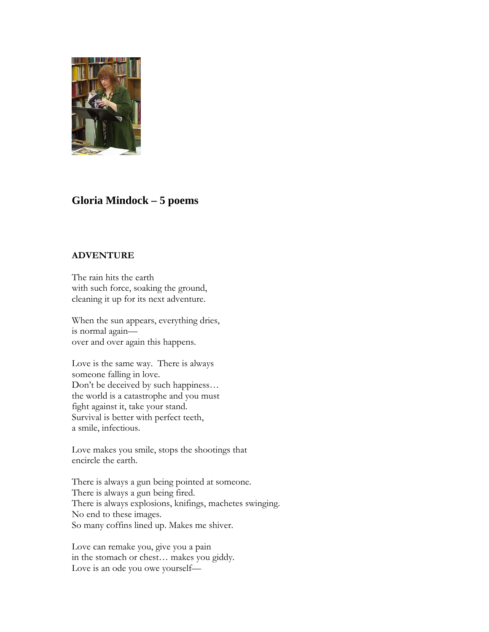

# **Gloria Mindock – 5 poems**

### **ADVENTURE**

The rain hits the earth with such force, soaking the ground, cleaning it up for its next adventure.

When the sun appears, everything dries, is normal again over and over again this happens.

Love is the same way. There is always someone falling in love. Don't be deceived by such happiness… the world is a catastrophe and you must fight against it, take your stand. Survival is better with perfect teeth, a smile, infectious.

Love makes you smile, stops the shootings that encircle the earth.

There is always a gun being pointed at someone. There is always a gun being fired. There is always explosions, knifings, machetes swinging. No end to these images. So many coffins lined up. Makes me shiver.

Love can remake you, give you a pain in the stomach or chest… makes you giddy. Love is an ode you owe yourself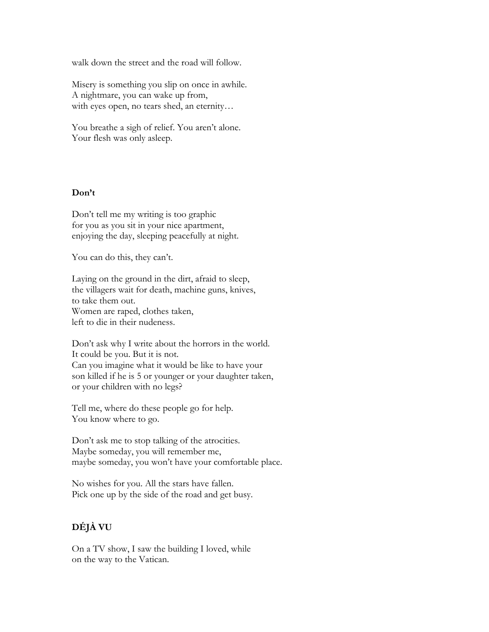walk down the street and the road will follow.

Misery is something you slip on once in awhile. A nightmare, you can wake up from, with eyes open, no tears shed, an eternity…

You breathe a sigh of relief. You aren't alone. Your flesh was only asleep.

#### **Don't**

Don't tell me my writing is too graphic for you as you sit in your nice apartment, enjoying the day, sleeping peacefully at night.

You can do this, they can't.

Laying on the ground in the dirt, afraid to sleep, the villagers wait for death, machine guns, knives, to take them out. Women are raped, clothes taken, left to die in their nudeness.

Don't ask why I write about the horrors in the world. It could be you. But it is not. Can you imagine what it would be like to have your son killed if he is 5 or younger or your daughter taken, or your children with no legs?

Tell me, where do these people go for help. You know where to go.

Don't ask me to stop talking of the atrocities. Maybe someday, you will remember me, maybe someday, you won't have your comfortable place.

No wishes for you. All the stars have fallen. Pick one up by the side of the road and get busy.

# **DÉJÀ VU**

On a TV show, I saw the building I loved, while on the way to the Vatican.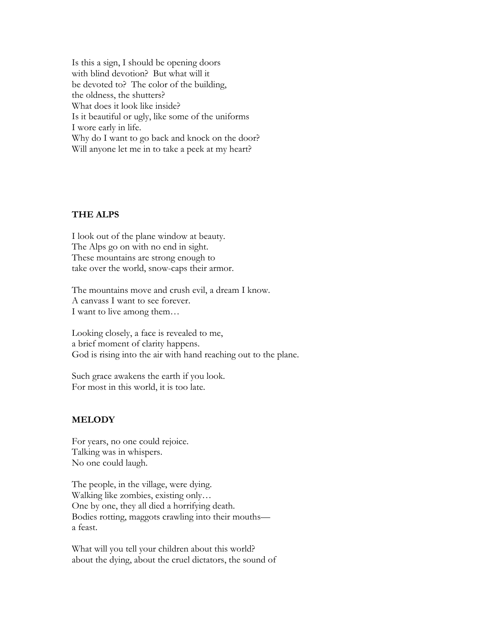Is this a sign, I should be opening doors with blind devotion? But what will it be devoted to? The color of the building, the oldness, the shutters? What does it look like inside? Is it beautiful or ugly, like some of the uniforms I wore early in life. Why do I want to go back and knock on the door? Will anyone let me in to take a peek at my heart?

### **THE ALPS**

I look out of the plane window at beauty. The Alps go on with no end in sight. These mountains are strong enough to take over the world, snow-caps their armor.

The mountains move and crush evil, a dream I know. A canvass I want to see forever. I want to live among them…

Looking closely, a face is revealed to me, a brief moment of clarity happens. God is rising into the air with hand reaching out to the plane.

Such grace awakens the earth if you look. For most in this world, it is too late.

# **MELODY**

For years, no one could rejoice. Talking was in whispers. No one could laugh.

The people, in the village, were dying. Walking like zombies, existing only… One by one, they all died a horrifying death. Bodies rotting, maggots crawling into their mouths a feast.

What will you tell your children about this world? about the dying, about the cruel dictators, the sound of